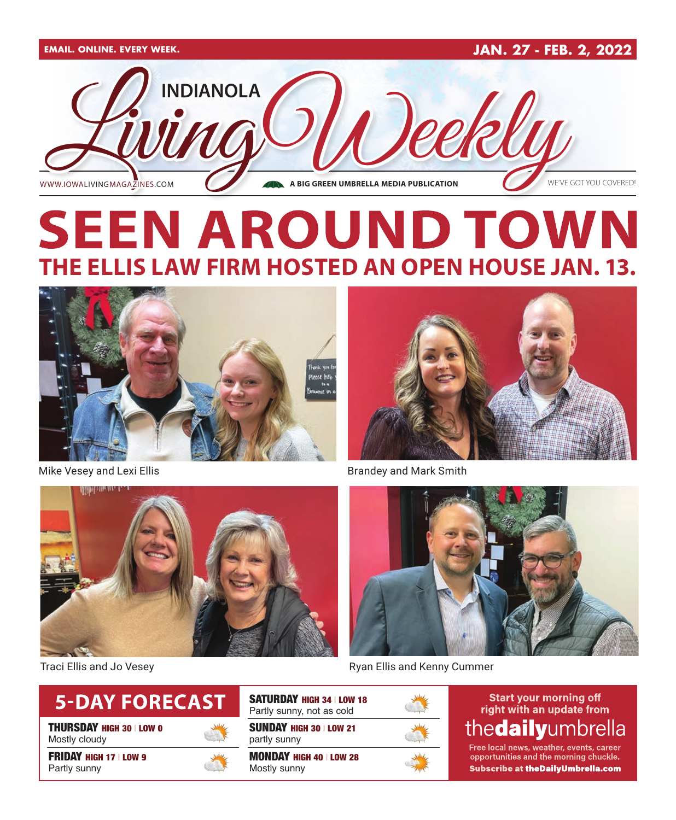

# **SEEN AROUND TOWN THE ELLIS LAW FIRM HOSTED AN OPEN HOUSE JAN. 13.**



Mike Vesey and Lexi Ellis **Brandey and Mark Smith** Brandey and Mark Smith







Traci Ellis and Jo Vesey **Repairs and Renaming Community** Ryan Ellis and Kenny Cummer



THURSDAY HIGH 30 | LOW 0 Mostly cloudy

FRIDAY HIGH 17 | LOW 9 Partly sunny



SUNDAY HIGH 30 | LOW 21 partly sunny SATURDAY HIGH 34 | LOW 18 Partly sunny, not as cold

MONDAY HIGH 40 | LOW 28 Mostly sunny



**Start your morning off** right with an update from thedailyumbrella

Free local news, weather, events, career opportunities and the morning chuckle. Subscribe at the Daily Umbrella.com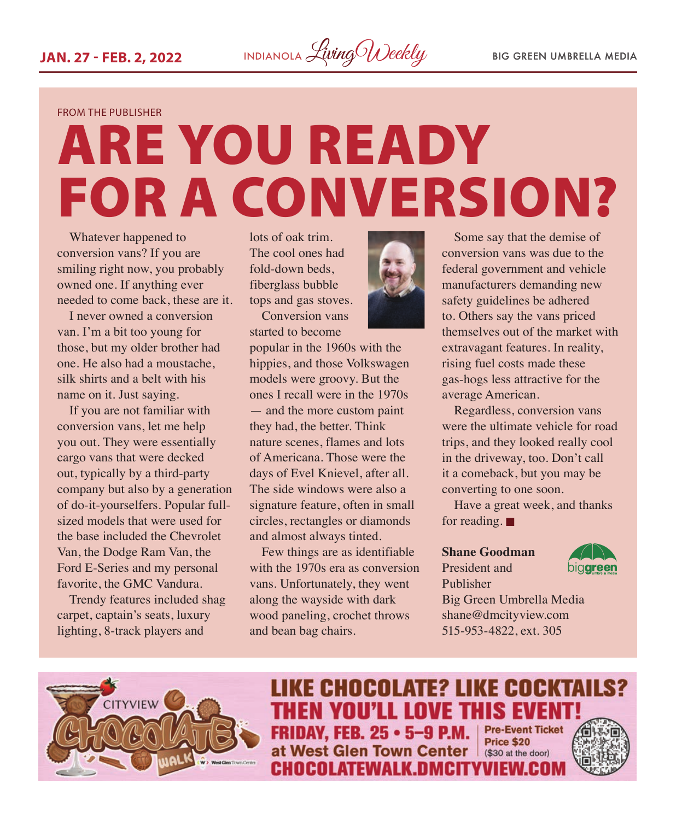

FROM THE PUBLISHER

# ARE YOU READY FOR A CONVERSION?

Whatever happened to conversion vans? If you are smiling right now, you probably owned one. If anything ever needed to come back, these are it.

I never owned a conversion van. I'm a bit too young for those, but my older brother had one. He also had a moustache, silk shirts and a belt with his name on it. Just saying.

If you are not familiar with conversion vans, let me help you out. They were essentially cargo vans that were decked out, typically by a third-party company but also by a generation of do-it-yourselfers. Popular fullsized models that were used for the base included the Chevrolet Van, the Dodge Ram Van, the Ford E-Series and my personal favorite, the GMC Vandura.

Trendy features included shag carpet, captain's seats, luxury lighting, 8-track players and

lots of oak trim. The cool ones had fold-down beds, fiberglass bubble tops and gas stoves.

Conversion vans started to become



popular in the 1960s with the hippies, and those Volkswagen models were groovy. But the ones I recall were in the 1970s — and the more custom paint they had, the better. Think nature scenes, flames and lots of Americana. Those were the days of Evel Knievel, after all. The side windows were also a signature feature, often in small circles, rectangles or diamonds and almost always tinted.

Few things are as identifiable with the 1970s era as conversion vans. Unfortunately, they went along the wayside with dark wood paneling, crochet throws and bean bag chairs.



Regardless, conversion vans were the ultimate vehicle for road trips, and they looked really cool in the driveway, too. Don't call it a comeback, but you may be converting to one soon.

Have a great week, and thanks for reading.  $\blacksquare$ 

#### **Shane Goodman**

#### President and Publisher



Big Green Umbrella Media shane@dmcityview.com 515-953-4822, ext. 305



**LIKE CHOCOLATE? LIKE COCKTAILS? THEN YOU'LL LOVE THIS EVENT! Pre-Event Ticket FRIDAY, FEB. 25 · 5-9 P.M. Price \$20** at West Glen Town Center (\$30 at the door) **CHOCOLATEWALK.DMCITYVIEW.COM** 

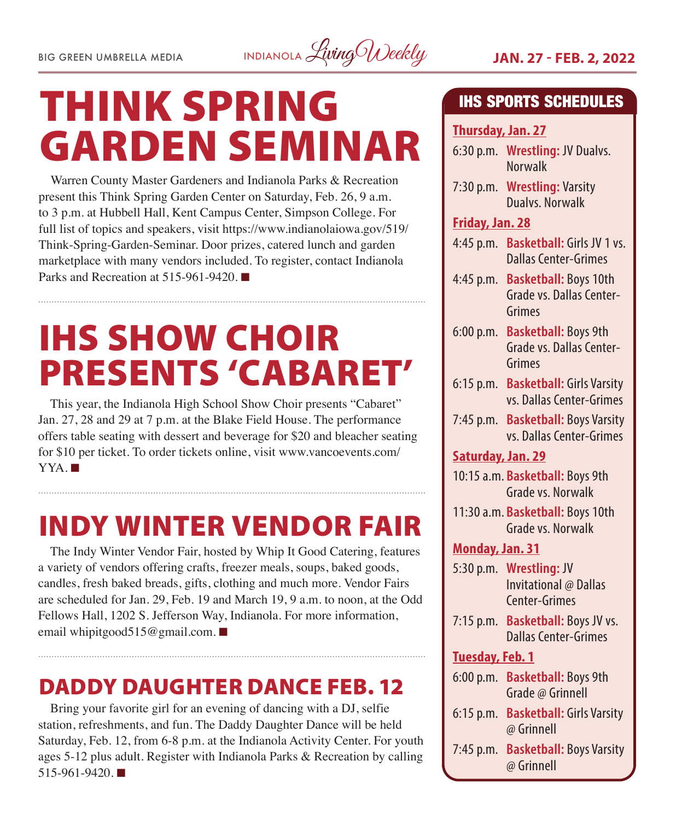

# THINK SPRING GARDEN SEMINAR

Warren County Master Gardeners and Indianola Parks & Recreation present this Think Spring Garden Center on Saturday, Feb. 26, 9 a.m. to 3 p.m. at Hubbell Hall, Kent Campus Center, Simpson College. For full list of topics and speakers, visit https://www.indianolaiowa.gov/519/ Think-Spring-Garden-Seminar. Door prizes, catered lunch and garden marketplace with many vendors included. To register, contact Indianola Parks and Recreation at 515-961-9420.

# IHS SHOW CHOIR PRESENTS 'CABARET'

This year, the Indianola High School Show Choir presents "Cabaret" Jan. 27, 28 and 29 at 7 p.m. at the Blake Field House. The performance offers table seating with dessert and beverage for \$20 and bleacher seating for \$10 per ticket. To order tickets online, visit www.vancoevents.com/  $YYA.$ 

## INDY WINTER VENDOR FAIR

The Indy Winter Vendor Fair, hosted by Whip It Good Catering, features a variety of vendors offering crafts, freezer meals, soups, baked goods, candles, fresh baked breads, gifts, clothing and much more. Vendor Fairs are scheduled for Jan. 29, Feb. 19 and March 19, 9 a.m. to noon, at the Odd Fellows Hall, 1202 S. Jefferson Way, Indianola. For more information, email whipitgood515@gmail.com. ■

### DADDY DAUGHTER DANCE FEB. 12

Bring your favorite girl for an evening of dancing with a DJ, selfie station, refreshments, and fun. The Daddy Daughter Dance will be held Saturday, Feb. 12, from 6-8 p.m. at the Indianola Activity Center. For youth ages 5-12 plus adult. Register with Indianola Parks & Recreation by calling  $515-961-9420$ .

#### IHS SPORTS SCHEDULES

#### **Thursday, Jan. 27**

- 6:30 p.m. **Wrestling:** JV Dualvs. Norwalk
- 7:30 p.m. **Wrestling:** Varsity Dualvs. Norwalk

#### **Friday, Jan. 28**

- 4:45 p.m. **Basketball:** Girls JV 1 vs. Dallas Center-Grimes
- 4:45 p.m. **Basketball:** Boys 10th Grade vs. Dallas Center-Grimes
- 6:00 p.m. **Basketball:** Boys 9th Grade vs. Dallas Center-Grimes
- 6:15 p.m. **Basketball:** Girls Varsity vs. Dallas Center-Grimes
- 7:45 p.m. **Basketball:** Boys Varsity vs. Dallas Center-Grimes

#### **Saturday, Jan. 29**

- 10:15 a.m. **Basketball:** Boys 9th Grade vs. Norwalk
- 11:30 a.m. **Basketball:** Boys 10th Grade vs. Norwalk

#### **Monday, Jan. 31**

- 5:30 p.m. **Wrestling:** JV Invitational @ Dallas Center-Grimes
- 7:15 p.m. **Basketball:** Boys JV vs. Dallas Center-Grimes

#### **Tuesday, Feb. 1**

- 6:00 p.m. **Basketball:** Boys 9th Grade @ Grinnell
- 6:15 p.m. **Basketball:** Girls Varsity @ Grinnell
- 7:45 p.m. **Basketball:** Boys Varsity @ Grinnell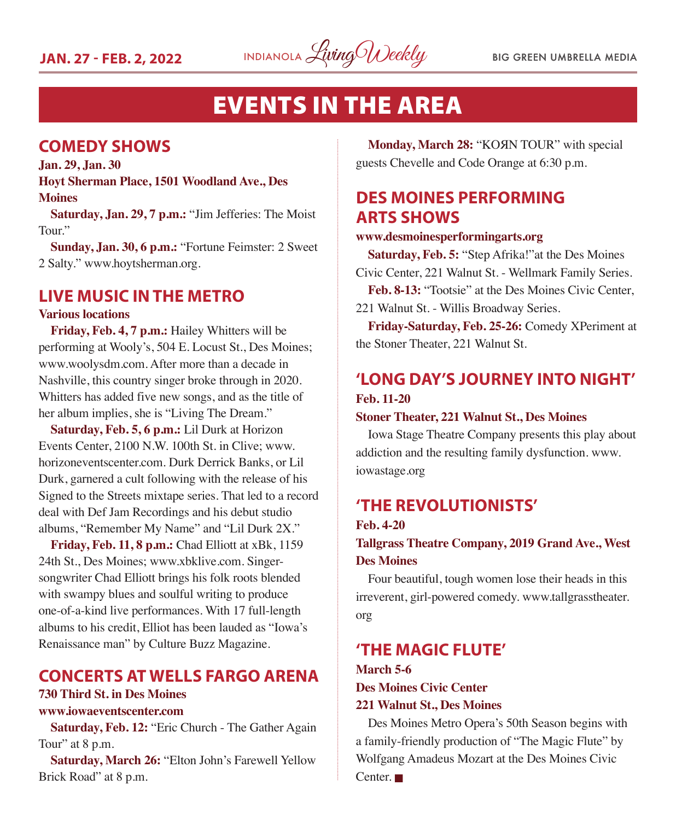

### EVENTS IN THE AREA

#### **COMEDY SHOWS**

**Jan. 29, Jan. 30 Hoyt Sherman Place, 1501 Woodland Ave., Des Moines**

**Saturday, Jan. 29, 7 p.m.:** "Jim Jefferies: The Moist Tour."

**Sunday, Jan. 30, 6 p.m.:** "Fortune Feimster: 2 Sweet 2 Salty." www.hoytsherman.org.

#### **LIVE MUSIC IN THE METRO**

#### **Various locations**

**Friday, Feb. 4, 7 p.m.:** Hailey Whitters will be performing at Wooly's, 504 E. Locust St., Des Moines; www.woolysdm.com. After more than a decade in Nashville, this country singer broke through in 2020. Whitters has added five new songs, and as the title of her album implies, she is "Living The Dream."

**Saturday, Feb. 5, 6 p.m.:** Lil Durk at Horizon Events Center, 2100 N.W. 100th St. in Clive; www. horizoneventscenter.com. Durk Derrick Banks, or Lil Durk, garnered a cult following with the release of his Signed to the Streets mixtape series. That led to a record deal with Def Jam Recordings and his debut studio albums, "Remember My Name" and "Lil Durk 2X."

**Friday, Feb. 11, 8 p.m.:** Chad Elliott at xBk, 1159 24th St., Des Moines; www.xbklive.com. Singersongwriter Chad Elliott brings his folk roots blended with swampy blues and soulful writing to produce one-of-a-kind live performances. With 17 full-length albums to his credit, Elliot has been lauded as "Iowa's Renaissance man" by Culture Buzz Magazine.

#### **CONCERTS AT WELLS FARGO ARENA**

#### **730 Third St. in Des Moines**

#### **www.iowaeventscenter.com**

**Saturday, Feb. 12:** "Eric Church - The Gather Again Tour" at 8 p.m.

**Saturday, March 26:** "Elton John's Farewell Yellow Brick Road" at 8 p.m.

**Monday, March 28:** "KOЯN TOUR" with special guests Chevelle and Code Orange at 6:30 p.m.

#### **DES MOINES PERFORMING ARTS SHOWS**

#### **www.desmoinesperformingarts.org**

**Saturday, Feb. 5:** "Step Afrika!"at the Des Moines Civic Center, 221 Walnut St. - Wellmark Family Series.

**Feb. 8-13:** "Tootsie" at the Des Moines Civic Center, 221 Walnut St. - Willis Broadway Series.

**Friday-Saturday, Feb. 25-26:** Comedy XPeriment at the Stoner Theater, 221 Walnut St.

#### **'LONG DAY'S JOURNEY INTO NIGHT' Feb. 11-20**

#### **Stoner Theater, 221 Walnut St., Des Moines**

Iowa Stage Theatre Company presents this play about addiction and the resulting family dysfunction. www. iowastage.org

#### **'THE REVOLUTIONISTS'**

#### **Feb. 4-20**

**Tallgrass Theatre Company, 2019 Grand Ave., West Des Moines**

Four beautiful, tough women lose their heads in this irreverent, girl-powered comedy. www.tallgrasstheater. org

#### **'THE MAGIC FLUTE'**

#### **March 5-6 Des Moines Civic Center 221 Walnut St., Des Moines**

Des Moines Metro Opera's 50th Season begins with a family-friendly production of "The Magic Flute" by Wolfgang Amadeus Mozart at the Des Moines Civic  $Center.$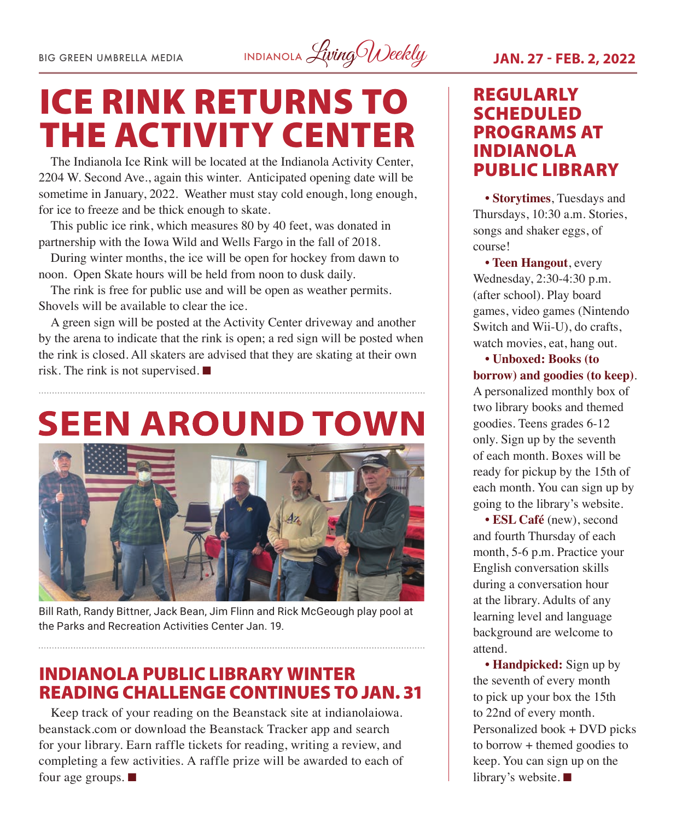BIG GREEN UMBRELLA MEDIA INDIANOLA *Living Weekly* **JAN. 27 - FEB. 2, 2022** 

# ICE RINK RETURNS TO THE ACTIVITY CENTER

The Indianola Ice Rink will be located at the Indianola Activity Center, 2204 W. Second Ave., again this winter. Anticipated opening date will be sometime in January, 2022. Weather must stay cold enough, long enough, for ice to freeze and be thick enough to skate.

This public ice rink, which measures 80 by 40 feet, was donated in partnership with the Iowa Wild and Wells Fargo in the fall of 2018.

During winter months, the ice will be open for hockey from dawn to noon. Open Skate hours will be held from noon to dusk daily.

The rink is free for public use and will be open as weather permits. Shovels will be available to clear the ice.

A green sign will be posted at the Activity Center driveway and another by the arena to indicate that the rink is open; a red sign will be posted when the rink is closed. All skaters are advised that they are skating at their own risk. The rink is not supervised.  $\blacksquare$ 

# **SEEN AROUND TOWN**



Bill Rath, Randy Bittner, Jack Bean, Jim Flinn and Rick McGeough play pool at the Parks and Recreation Activities Center Jan. 19.

#### INDIANOLA PUBLIC LIBRARY WINTER READING CHALLENGE CONTINUES TO JAN. 31

Keep track of your reading on the Beanstack site at indianolaiowa. beanstack.com or download the Beanstack Tracker app and search for your library. Earn raffle tickets for reading, writing a review, and completing a few activities. A raffle prize will be awarded to each of four age groups.  $\blacksquare$ 

### REGULARLY SCHEDULED PROGRAMS AT INDIANOLA

**• Storytimes**, Tuesdays and Thursdays, 10:30 a.m. Stories, songs and shaker eggs, of course!

**• Teen Hangout**, every Wednesday, 2:30-4:30 p.m. (after school). Play board games, video games (Nintendo Switch and Wii-U), do crafts, watch movies, eat, hang out.

**• Unboxed: Books (to borrow) and goodies (to keep)**. A personalized monthly box of two library books and themed goodies. Teens grades 6-12 only. Sign up by the seventh of each month. Boxes will be ready for pickup by the 15th of each month. You can sign up by going to the library's website.

**• ESL Café** (new), second and fourth Thursday of each month, 5-6 p.m. Practice your English conversation skills during a conversation hour at the library. Adults of any learning level and language background are welcome to attend.

**• Handpicked:** Sign up by the seventh of every month to pick up your box the 15th to 22nd of every month. Personalized book + DVD picks to borrow + themed goodies to keep. You can sign up on the library's website.  $\blacksquare$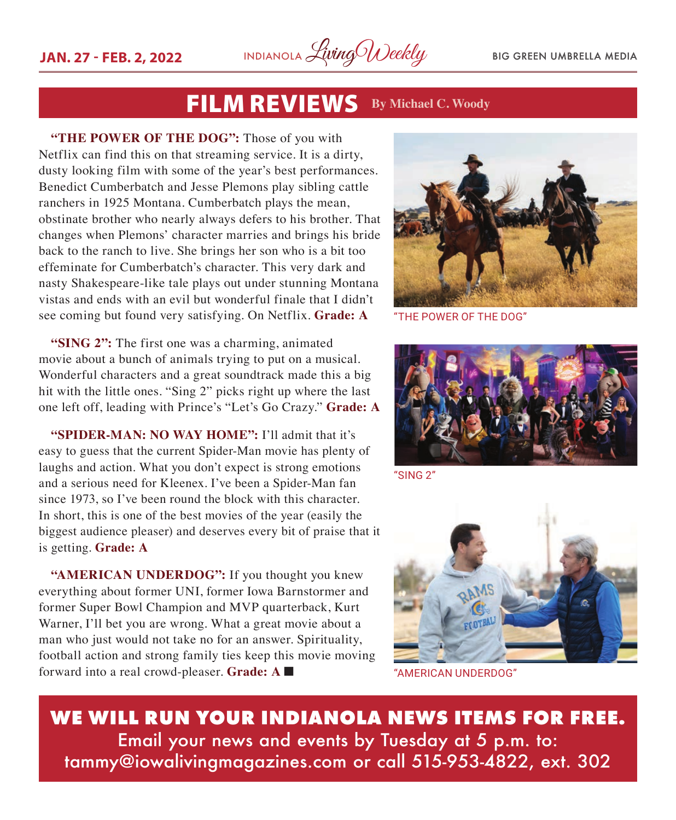

### FILM REVIEWS **By Michael C. Woody**

**"THE POWER OF THE DOG":** Those of you with Netflix can find this on that streaming service. It is a dirty, dusty looking film with some of the year's best performances. Benedict Cumberbatch and Jesse Plemons play sibling cattle ranchers in 1925 Montana. Cumberbatch plays the mean, obstinate brother who nearly always defers to his brother. That changes when Plemons' character marries and brings his bride back to the ranch to live. She brings her son who is a bit too effeminate for Cumberbatch's character. This very dark and nasty Shakespeare-like tale plays out under stunning Montana vistas and ends with an evil but wonderful finale that I didn't see coming but found very satisfying. On Netflix. **Grade: A**

**"SING 2":** The first one was a charming, animated movie about a bunch of animals trying to put on a musical. Wonderful characters and a great soundtrack made this a big hit with the little ones. "Sing 2" picks right up where the last one left off, leading with Prince's "Let's Go Crazy." **Grade: A**

**"SPIDER-MAN: NO WAY HOME":** I'll admit that it's easy to guess that the current Spider-Man movie has plenty of laughs and action. What you don't expect is strong emotions and a serious need for Kleenex. I've been a Spider-Man fan since 1973, so I've been round the block with this character. In short, this is one of the best movies of the year (easily the biggest audience pleaser) and deserves every bit of praise that it is getting. **Grade: A**

**"AMERICAN UNDERDOG":** If you thought you knew everything about former UNI, former Iowa Barnstormer and former Super Bowl Champion and MVP quarterback, Kurt Warner, I'll bet you are wrong. What a great movie about a man who just would not take no for an answer. Spirituality, football action and strong family ties keep this movie moving forward into a real crowd-pleaser. Grade: A



"THE POWER OF THE DOG"



"SING 2"



"AMERICAN UNDERDOG"

**WE WILL RUN YOUR INDIANOLA NEWS ITEMS FOR FREE.** Email your news and events by Tuesday at 5 p.m. to: tammy@iowalivingmagazines.com or call 515-953-4822, ext. 302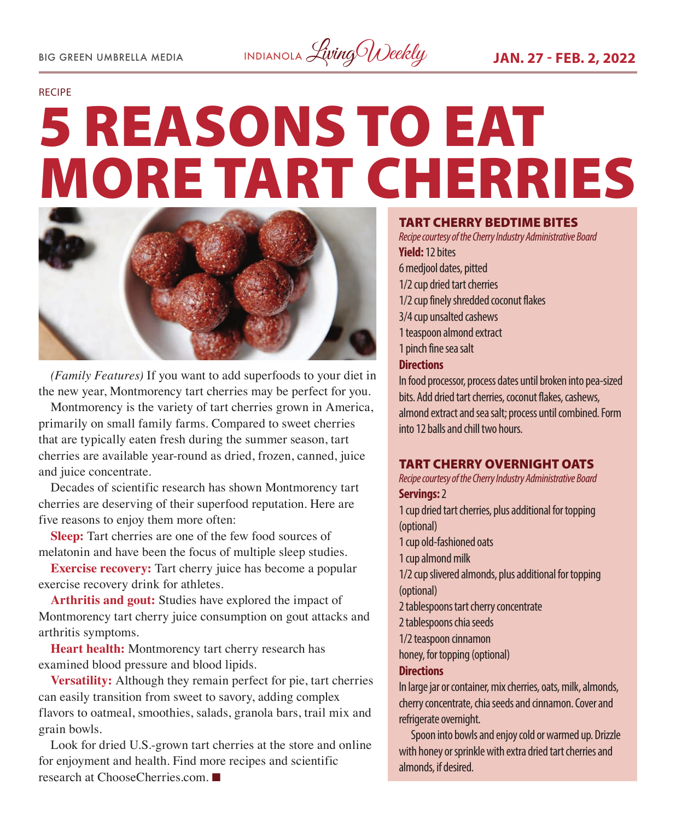

#### RECIPE

# 5 REASONS TO EAT MORE TART CHERRIES



*(Family Features)* If you want to add superfoods to your diet in the new year, Montmorency tart cherries may be perfect for you.

Montmorency is the variety of tart cherries grown in America, primarily on small family farms. Compared to sweet cherries that are typically eaten fresh during the summer season, tart cherries are available year-round as dried, frozen, canned, juice and juice concentrate.

Decades of scientific research has shown Montmorency tart cherries are deserving of their superfood reputation. Here are five reasons to enjoy them more often:

**Sleep:** Tart cherries are one of the few food sources of melatonin and have been the focus of multiple sleep studies.

**Exercise recovery:** Tart cherry juice has become a popular exercise recovery drink for athletes.

**Arthritis and gout:** Studies have explored the impact of Montmorency tart cherry juice consumption on gout attacks and arthritis symptoms.

**Heart health:** Montmorency tart cherry research has examined blood pressure and blood lipids.

**Versatility:** Although they remain perfect for pie, tart cherries can easily transition from sweet to savory, adding complex flavors to oatmeal, smoothies, salads, granola bars, trail mix and grain bowls.

Look for dried U.S.-grown tart cherries at the store and online for enjoyment and health. Find more recipes and scientific research at ChooseCherries.com.  $\blacksquare$ 

#### TART CHERRY BEDTIME BITES

*Recipe courtesy of the Cherry Industry Administrative Board* **Yield:** 12 bites 6 medjool dates, pitted 1/2 cup dried tart cherries 1/2 cup finely shredded coconut flakes 3/4 cup unsalted cashews 1 teaspoon almond extract 1 pinch fine sea salt **Directions** In food processor, process dates until broken into pea-sized bits. Add dried tart cherries, coconut flakes, cashews,

almond extract and sea salt; process until combined. Form into 12 balls and chill two hours.

#### TART CHERRY OVERNIGHT OATS

*Recipe courtesy of the Cherry Industry Administrative Board* **Servings:** 2

1 cup dried tart cherries, plus additional for topping (optional) 1 cup old-fashioned oats 1 cup almond milk 1/2 cup slivered almonds, plus additional for topping (optional) 2 tablespoons tart cherry concentrate 2 tablespoons chia seeds 1/2 teaspoon cinnamon honey, for topping (optional) **Directions** In large jar or container, mix cherries, oats, milk, almonds, cherry concentrate, chia seeds and cinnamon. Cover and refrigerate overnight.

Spoon into bowls and enjoy cold or warmed up. Drizzle with honey or sprinkle with extra dried tart cherries and almonds, if desired.